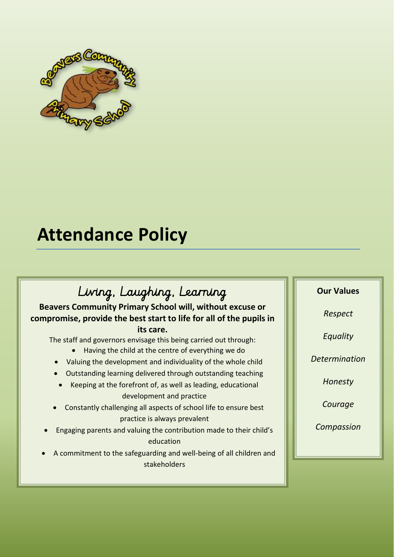

# **Attendance Policy**

# Living, Laughing, Learning

**Beavers Community Primary School will, without excuse or compromise, provide the best start to life for all of the pupils in** 

**its care.**

The staff and governors envisage this being carried out through:

- Having the child at the centre of everything we do
- Valuing the development and individuality of the whole child
- Outstanding learning delivered through outstanding teaching
- Keeping at the forefront of, as well as leading, educational development and practice
- Constantly challenging all aspects of school life to ensure best practice is always prevalent
- Engaging parents and valuing the contribution made to their child's education
- A commitment to the safeguarding and well-being of all children and stakeholders

# **Our Values**

*Respect*

*Equality*

*Determination*

*Honesty*

*Courage*

*Compassion*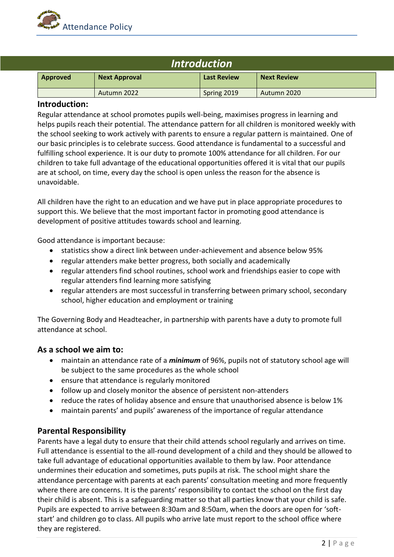

| <i><b>Introduction</b></i> |                      |                    |                    |  |
|----------------------------|----------------------|--------------------|--------------------|--|
| Approved                   | <b>Next Approval</b> | <b>Last Review</b> | <b>Next Review</b> |  |
|                            | Autumn 2022          | Spring 2019        | Autumn 2020        |  |

## **Introduction:**

Regular attendance at school promotes pupils well-being, maximises progress in learning and helps pupils reach their potential. The attendance pattern for all children is monitored weekly with the school seeking to work actively with parents to ensure a regular pattern is maintained. One of our basic principles is to celebrate success. Good attendance is fundamental to a successful and fulfilling school experience. It is our duty to promote 100% attendance for all children. For our children to take full advantage of the educational opportunities offered it is vital that our pupils are at school, on time, every day the school is open unless the reason for the absence is unavoidable.

All children have the right to an education and we have put in place appropriate procedures to support this. We believe that the most important factor in promoting good attendance is development of positive attitudes towards school and learning.

Good attendance is important because:

- statistics show a direct link between under-achievement and absence below 95%
- regular attenders make better progress, both socially and academically
- regular attenders find school routines, school work and friendships easier to cope with regular attenders find learning more satisfying
- regular attenders are most successful in transferring between primary school, secondary school, higher education and employment or training

The Governing Body and Headteacher, in partnership with parents have a duty to promote full attendance at school.

#### **As a school we aim to:**

- maintain an attendance rate of a *minimum* of 96%, pupils not of statutory school age will be subject to the same procedures as the whole school
- ensure that attendance is regularly monitored
- follow up and closely monitor the absence of persistent non-attenders
- reduce the rates of holiday absence and ensure that unauthorised absence is below 1%
- maintain parents' and pupils' awareness of the importance of regular attendance

## **Parental Responsibility**

Parents have a legal duty to ensure that their child attends school regularly and arrives on time. Full attendance is essential to the all-round development of a child and they should be allowed to take full advantage of educational opportunities available to them by law. Poor attendance undermines their education and sometimes, puts pupils at risk. The school might share the attendance percentage with parents at each parents' consultation meeting and more frequently where there are concerns. It is the parents' responsibility to contact the school on the first day their child is absent. This is a safeguarding matter so that all parties know that your child is safe. Pupils are expected to arrive between 8:30am and 8:50am, when the doors are open for 'softstart' and children go to class. All pupils who arrive late must report to the school office where they are registered.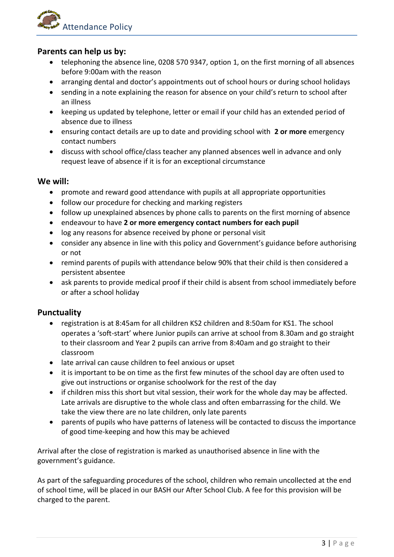

# **Parents can help us by:**

- telephoning the absence line, 0208 570 9347, option 1, on the first morning of all absences before 9:00am with the reason
- arranging dental and doctor's appointments out of school hours or during school holidays
- sending in a note explaining the reason for absence on your child's return to school after an illness
- keeping us updated by telephone, letter or email if your child has an extended period of absence due to illness
- ensuring contact details are up to date and providing school with **2 or more** emergency contact numbers
- discuss with school office/class teacher any planned absences well in advance and only request leave of absence if it is for an exceptional circumstance

## **We will:**

- promote and reward good attendance with pupils at all appropriate opportunities
- follow our procedure for checking and marking registers
- follow up unexplained absences by phone calls to parents on the first morning of absence
- endeavour to have **2 or more emergency contact numbers for each pupil**
- log any reasons for absence received by phone or personal visit
- consider any absence in line with this policy and Government's guidance before authorising or not
- remind parents of pupils with attendance below 90% that their child is then considered a persistent absentee
- ask parents to provide medical proof if their child is absent from school immediately before or after a school holiday

## **Punctuality**

- registration is at 8:45am for all children KS2 children and 8:50am for KS1. The school operates a 'soft-start' where Junior pupils can arrive at school from 8.30am and go straight to their classroom and Year 2 pupils can arrive from 8:40am and go straight to their classroom
- late arrival can cause children to feel anxious or upset
- it is important to be on time as the first few minutes of the school day are often used to give out instructions or organise schoolwork for the rest of the day
- if children miss this short but vital session, their work for the whole day may be affected. Late arrivals are disruptive to the whole class and often embarrassing for the child. We take the view there are no late children, only late parents
- parents of pupils who have patterns of lateness will be contacted to discuss the importance of good time-keeping and how this may be achieved

Arrival after the close of registration is marked as unauthorised absence in line with the government's guidance.

As part of the safeguarding procedures of the school, children who remain uncollected at the end of school time, will be placed in our BASH our After School Club. A fee for this provision will be charged to the parent.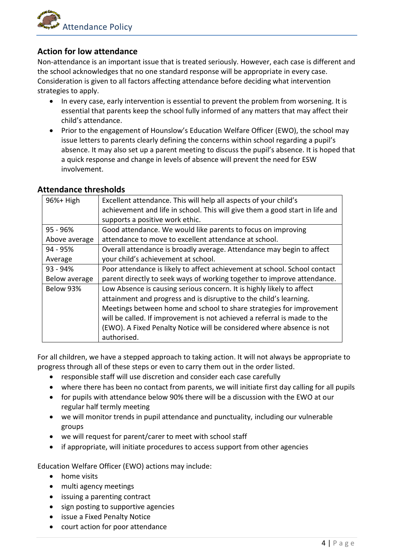

# **Action for low attendance**

Non-attendance is an important issue that is treated seriously. However, each case is different and the school acknowledges that no one standard response will be appropriate in every case. Consideration is given to all factors affecting attendance before deciding what intervention strategies to apply.

- In every case, early intervention is essential to prevent the problem from worsening. It is essential that parents keep the school fully informed of any matters that may affect their child's attendance.
- Prior to the engagement of Hounslow's Education Welfare Officer (EWO), the school may issue letters to parents clearly defining the concerns within school regarding a pupil's absence. It may also set up a parent meeting to discuss the pupil's absence. It is hoped that a quick response and change in levels of absence will prevent the need for ESW involvement.

| $96%$ High    | Excellent attendance. This will help all aspects of your child's             |  |
|---------------|------------------------------------------------------------------------------|--|
|               | achievement and life in school. This will give them a good start in life and |  |
|               | supports a positive work ethic.                                              |  |
| 95 - 96%      | Good attendance. We would like parents to focus on improving                 |  |
| Above average | attendance to move to excellent attendance at school.                        |  |
| 94 - 95%      | Overall attendance is broadly average. Attendance may begin to affect        |  |
| Average       | your child's achievement at school.                                          |  |
| $93 - 94%$    | Poor attendance is likely to affect achievement at school. School contact    |  |
| Below average | parent directly to seek ways of working together to improve attendance.      |  |
| Below 93%     | Low Absence is causing serious concern. It is highly likely to affect        |  |
|               | attainment and progress and is disruptive to the child's learning.           |  |
|               | Meetings between home and school to share strategies for improvement         |  |
|               | will be called. If improvement is not achieved a referral is made to the     |  |
|               | (EWO). A Fixed Penalty Notice will be considered where absence is not        |  |
|               | authorised.                                                                  |  |

For all children, we have a stepped approach to taking action. It will not always be appropriate to progress through all of these steps or even to carry them out in the order listed.

- responsible staff will use discretion and consider each case carefully
- where there has been no contact from parents, we will initiate first day calling for all pupils
- for pupils with attendance below 90% there will be a discussion with the EWO at our regular half termly meeting
- we will monitor trends in pupil attendance and punctuality, including our vulnerable groups
- we will request for parent/carer to meet with school staff
- if appropriate, will initiate procedures to access support from other agencies

Education Welfare Officer (EWO) actions may include:

- home visits
- multi agency meetings
- issuing a parenting contract
- sign posting to supportive agencies
- issue a Fixed Penalty Notice
- court action for poor attendance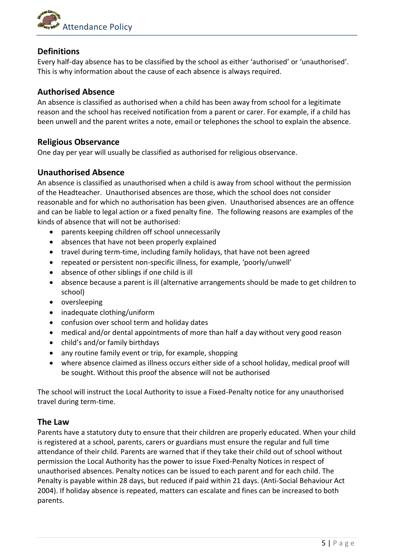

# **Definitions**

Every half-day absence has to be classified by the school as either 'authorised' or 'unauthorised'. This is why information about the cause of each absence is always required.

# **Authorised Absence**

An absence is classified as authorised when a child has been away from school for a legitimate reason and the school has received notification from a parent or carer. For example, if a child has been unwell and the parent writes a note, email or telephones the school to explain the absence.

# **Religious Observance**

One day per year will usually be classified as authorised for religious observance.

# **Unauthorised Absence**

An absence is classified as unauthorised when a child is away from school without the permission of the Headteacher. Unauthorised absences are those, which the school does not consider reasonable and for which no authorisation has been given. Unauthorised absences are an offence and can be liable to legal action or a fixed penalty fine. The following reasons are examples of the kinds of absence that will not be authorised:

- parents keeping children off school unnecessarily
- absences that have not been properly explained
- travel during term-time, including family holidays, that have not been agreed
- repeated or persistent non-specific illness, for example, 'poorly/unwell'
- absence of other siblings if one child is ill
- absence because a parent is ill (alternative arrangements should be made to get children to school)
- oversleeping
- inadequate clothing/uniform
- confusion over school term and holiday dates
- medical and/or dental appointments of more than half a day without very good reason
- child's and/or family birthdays
- any routine family event or trip, for example, shopping
- where absence claimed as illness occurs either side of a school holiday, medical proof will be sought. Without this proof the absence will not be authorised

The school will instruct the Local Authority to issue a Fixed-Penalty notice for any unauthorised travel during term-time.

## **The Law**

Parents have a statutory duty to ensure that their children are properly educated. When your child is registered at a school, parents, carers or guardians must ensure the regular and full time attendance of their child. Parents are warned that if they take their child out of school without permission the Local Authority has the power to issue Fixed-Penalty Notices in respect of unauthorised absences. Penalty notices can be issued to each parent and for each child. The Penalty is payable within 28 days, but reduced if paid within 21 days. (Anti-Social Behaviour Act 2004). If holiday absence is repeated, matters can escalate and fines can be increased to both parents.